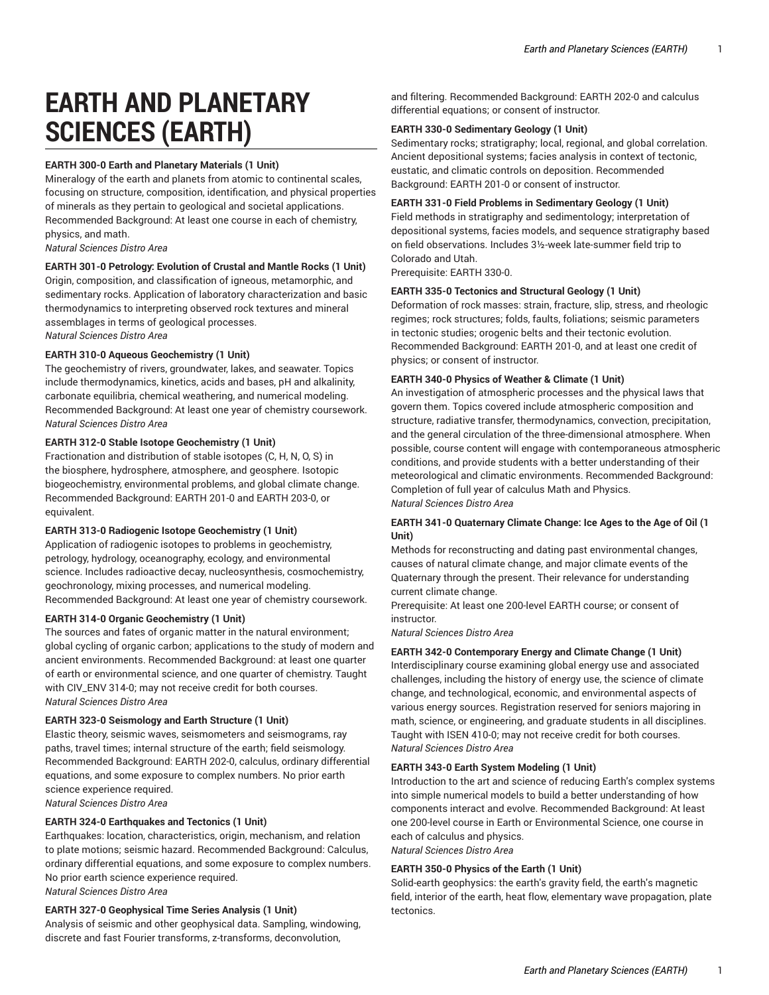# **EARTH AND PLANETARY SCIENCES (EARTH)**

# **EARTH 300-0 Earth and Planetary Materials (1 Unit)**

Mineralogy of the earth and planets from atomic to continental scales, focusing on structure, composition, identification, and physical properties of minerals as they pertain to geological and societal applications. Recommended Background: At least one course in each of chemistry, physics, and math.

*Natural Sciences Distro Area*

# **EARTH 301-0 Petrology: Evolution of Crustal and Mantle Rocks (1 Unit)**

Origin, composition, and classification of igneous, metamorphic, and sedimentary rocks. Application of laboratory characterization and basic thermodynamics to interpreting observed rock textures and mineral assemblages in terms of geological processes. *Natural Sciences Distro Area*

## **EARTH 310-0 Aqueous Geochemistry (1 Unit)**

The geochemistry of rivers, groundwater, lakes, and seawater. Topics include thermodynamics, kinetics, acids and bases, pH and alkalinity, carbonate equilibria, chemical weathering, and numerical modeling. Recommended Background: At least one year of chemistry coursework. *Natural Sciences Distro Area*

## **EARTH 312-0 Stable Isotope Geochemistry (1 Unit)**

Fractionation and distribution of stable isotopes (C, H, N, O, S) in the biosphere, hydrosphere, atmosphere, and geosphere. Isotopic biogeochemistry, environmental problems, and global climate change. Recommended Background: EARTH 201-0 and EARTH 203-0, or equivalent.

#### **EARTH 313-0 Radiogenic Isotope Geochemistry (1 Unit)**

Application of radiogenic isotopes to problems in geochemistry, petrology, hydrology, oceanography, ecology, and environmental science. Includes radioactive decay, nucleosynthesis, cosmochemistry, geochronology, mixing processes, and numerical modeling. Recommended Background: At least one year of chemistry coursework.

#### **EARTH 314-0 Organic Geochemistry (1 Unit)**

The sources and fates of organic matter in the natural environment; global cycling of organic carbon; applications to the study of modern and ancient environments. Recommended Background: at least one quarter of earth or environmental science, and one quarter of chemistry. Taught with CIV\_ENV 314-0; may not receive credit for both courses. *Natural Sciences Distro Area*

#### **EARTH 323-0 Seismology and Earth Structure (1 Unit)**

Elastic theory, seismic waves, seismometers and seismograms, ray paths, travel times; internal structure of the earth; field seismology. Recommended Background: EARTH 202-0, calculus, ordinary differential equations, and some exposure to complex numbers. No prior earth science experience required. *Natural Sciences Distro Area*

#### **EARTH 324-0 Earthquakes and Tectonics (1 Unit)**

Earthquakes: location, characteristics, origin, mechanism, and relation to plate motions; seismic hazard. Recommended Background: Calculus, ordinary differential equations, and some exposure to complex numbers. No prior earth science experience required.

*Natural Sciences Distro Area*

# **EARTH 327-0 Geophysical Time Series Analysis (1 Unit)**

Analysis of seismic and other geophysical data. Sampling, windowing, discrete and fast Fourier transforms, z-transforms, deconvolution,

and filtering. Recommended Background: EARTH 202-0 and calculus differential equations; or consent of instructor.

## **EARTH 330-0 Sedimentary Geology (1 Unit)**

Sedimentary rocks; stratigraphy; local, regional, and global correlation. Ancient depositional systems; facies analysis in context of tectonic, eustatic, and climatic controls on deposition. Recommended Background: EARTH 201-0 or consent of instructor.

#### **EARTH 331-0 Field Problems in Sedimentary Geology (1 Unit)**

Field methods in stratigraphy and sedimentology; interpretation of depositional systems, facies models, and sequence stratigraphy based on field observations. Includes 3½-week late-summer field trip to Colorado and Utah.

Prerequisite: EARTH 330-0.

#### **EARTH 335-0 Tectonics and Structural Geology (1 Unit)**

Deformation of rock masses: strain, fracture, slip, stress, and rheologic regimes; rock structures; folds, faults, foliations; seismic parameters in tectonic studies; orogenic belts and their tectonic evolution. Recommended Background: EARTH 201-0, and at least one credit of physics; or consent of instructor.

## **EARTH 340-0 Physics of Weather & Climate (1 Unit)**

An investigation of atmospheric processes and the physical laws that govern them. Topics covered include atmospheric composition and structure, radiative transfer, thermodynamics, convection, precipitation, and the general circulation of the three-dimensional atmosphere. When possible, course content will engage with contemporaneous atmospheric conditions, and provide students with a better understanding of their meteorological and climatic environments. Recommended Background: Completion of full year of calculus Math and Physics. *Natural Sciences Distro Area*

## **EARTH 341-0 Quaternary Climate Change: Ice Ages to the Age of Oil (1 Unit)**

Methods for reconstructing and dating past environmental changes, causes of natural climate change, and major climate events of the Quaternary through the present. Their relevance for understanding current climate change.

Prerequisite: At least one 200-level EARTH course; or consent of instructor.

*Natural Sciences Distro Area*

#### **EARTH 342-0 Contemporary Energy and Climate Change (1 Unit)**

Interdisciplinary course examining global energy use and associated challenges, including the history of energy use, the science of climate change, and technological, economic, and environmental aspects of various energy sources. Registration reserved for seniors majoring in math, science, or engineering, and graduate students in all disciplines. Taught with ISEN 410-0; may not receive credit for both courses. *Natural Sciences Distro Area*

## **EARTH 343-0 Earth System Modeling (1 Unit)**

Introduction to the art and science of reducing Earth's complex systems into simple numerical models to build a better understanding of how components interact and evolve. Recommended Background: At least one 200-level course in Earth or Environmental Science, one course in each of calculus and physics. *Natural Sciences Distro Area*

#### **EARTH 350-0 Physics of the Earth (1 Unit)**

Solid-earth geophysics: the earth's gravity field, the earth's magnetic field, interior of the earth, heat flow, elementary wave propagation, plate tectonics.